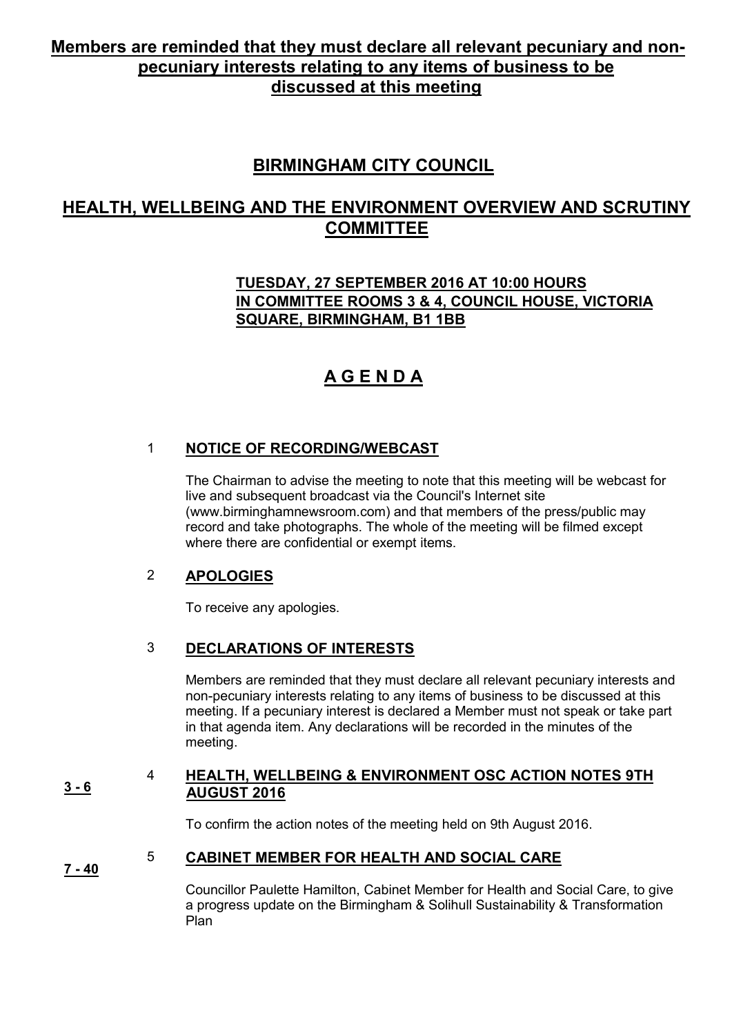# **Members are reminded that they must declare all relevant pecuniary and nonpecuniary interests relating to any items of business to be discussed at this meeting**

# **BIRMINGHAM CITY COUNCIL**

# **HEALTH, WELLBEING AND THE ENVIRONMENT OVERVIEW AND SCRUTINY COMMITTEE**

## **TUESDAY, 27 SEPTEMBER 2016 AT 10:00 HOURS IN COMMITTEE ROOMS 3 & 4, COUNCIL HOUSE, VICTORIA SQUARE, BIRMINGHAM, B1 1BB**

# **A G E N D A**

## 1 **NOTICE OF RECORDING/WEBCAST**

The Chairman to advise the meeting to note that this meeting will be webcast for live and subsequent broadcast via the Council's Internet site (www.birminghamnewsroom.com) and that members of the press/public may record and take photographs. The whole of the meeting will be filmed except where there are confidential or exempt items.

### 2 **APOLOGIES**

To receive any apologies.

### 3 **DECLARATIONS OF INTERESTS**

Members are reminded that they must declare all relevant pecuniary interests and non-pecuniary interests relating to any items of business to be discussed at this meeting. If a pecuniary interest is declared a Member must not speak or take part in that agenda item. Any declarations will be recorded in the minutes of the meeting.

#### **3 - 6**  4 **HEALTH, WELLBEING & ENVIRONMENT OSC ACTION NOTES 9TH AUGUST 2016**

To confirm the action notes of the meeting held on 9th August 2016.

**7 - 40** 

## 5 **CABINET MEMBER FOR HEALTH AND SOCIAL CARE**

Councillor Paulette Hamilton, Cabinet Member for Health and Social Care, to give a progress update on the Birmingham & Solihull Sustainability & Transformation Plan